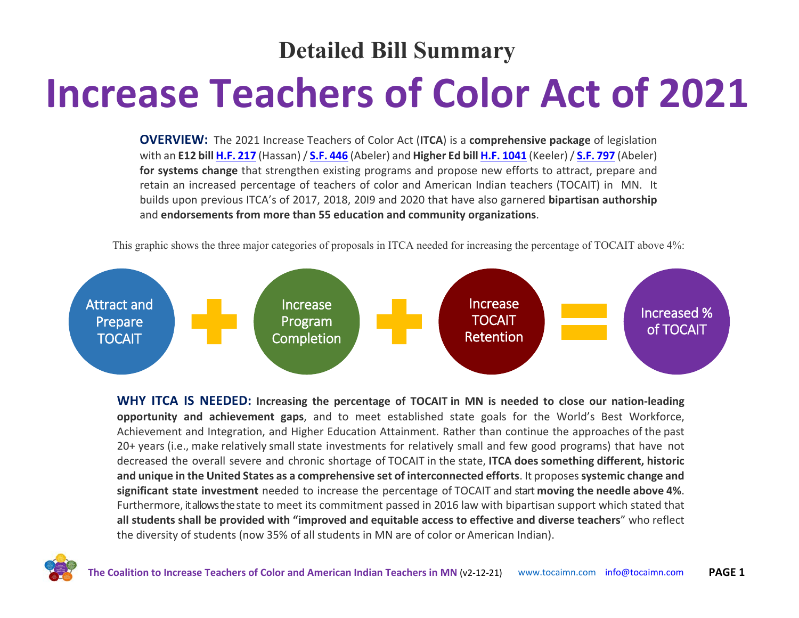#### **Detailed Bill Summary**

# **Increase Teachers of Color Act of 2021**

**OVERVIEW:** The 2021 Increase Teachers of Color Act (**ITCA**) is a **comprehensive package** of legislation with an **E12 bill [H.F. 217](https://www.revisor.mn.gov/bills/text.php?number=HF217&type=bill&version=0&session=ls92&session_year=2021&session_number=0)** (Hassan) / **[S.F. 446](https://www.revisor.mn.gov/bills/bill.php?f=SF446&y=2021&ssn=0&b=senate)** (Abeler) and **Higher Ed bill [H.F. 1041](https://www.revisor.mn.gov/bills/bill.php?f=HF1041&y=2021&ssn=0&b=house)** (Keeler)/ **[S.F. 797](https://www.revisor.mn.gov/bills/text.php?number=SF797&version=latest&session=ls92&session_year=2021&session_number=0)** (Abeler) **for systems change** that strengthen existing programs and propose new efforts to attract, prepare and retain an increased percentage of teachers of color and American Indian teachers (TOCAIT) in MN. It builds upon previous ITCA's of 2017, 2018, 20I9 and 2020 that have also garnered **bipartisan authorship** and **endorsements from more than 55 education and community organizations**.



This graphic shows the three major categories of proposals in ITCA needed for increasing the percentage of TOCAIT above 4%:

**WHY ITCA IS NEEDED: Increasing the percentage of TOCAIT in MN is needed to close our nation-leading opportunity and achievement gaps**, and to meet established state goals for the World's Best Workforce, Achievement and Integration, and Higher Education Attainment. Rather than continue the approaches of the past 20+ years (i.e., make relatively small state investments for relatively small and few good programs) that have not decreased the overall severe and chronic shortage of TOCAIT in the state, **ITCA does something different, historic and unique in the United States as a comprehensive set of interconnected efforts**. It proposes **systemic change and significant state investment** needed to increase the percentage of TOCAIT and start **moving the needle above 4%**. Furthermore, it allows the state to meet its commitment passed in 2016 law with bipartisan support which stated that **all students shall be provided with "improved and equitable access to effective and diverse teachers**" who reflect the diversity of students (now 35% of all students in MN are of color or American Indian).

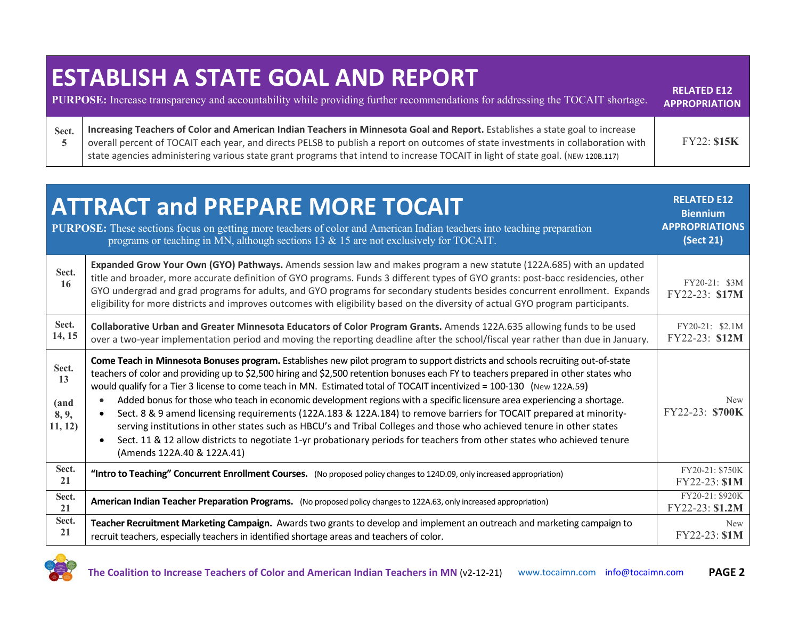## **ESTABLISH A STATE GOAL AND REPORT**

|       | <b>PURPOSE:</b> Increase transparency and accountability while providing further recommendations for addressing the TOCAIT shortage.                                                                                                                                                                                                                                                                 | INSSAILLY 514<br><b>APPROPRIATION</b> |
|-------|------------------------------------------------------------------------------------------------------------------------------------------------------------------------------------------------------------------------------------------------------------------------------------------------------------------------------------------------------------------------------------------------------|---------------------------------------|
| Sect. | Increasing Teachers of Color and American Indian Teachers in Minnesota Goal and Report. Establishes a state goal to increase<br>overall percent of TOCAIT each year, and directs PELSB to publish a report on outcomes of state investments in collaboration with<br>state agencies administering various state grant programs that intend to increase TOCAIT in light of state goal. (NEW 120B.117) | <b>FY22: \$15K</b>                    |

**RELATED E12** 

|                                         | <b>ATTRACT and PREPARE MORE TOCAIT</b><br><b>PURPOSE:</b> These sections focus on getting more teachers of color and American Indian teachers into teaching preparation<br>programs or teaching in MN, although sections 13 $\&$ 15 are not exclusively for TOCAIT.                                                                                                                                                                                                                                                                                                                                                                                                                                                                                                                                                                                                                                                                 | <b>RELATED E12</b><br><b>Biennium</b><br><b>APPROPRIATIONS</b><br>(Sect 21) |
|-----------------------------------------|-------------------------------------------------------------------------------------------------------------------------------------------------------------------------------------------------------------------------------------------------------------------------------------------------------------------------------------------------------------------------------------------------------------------------------------------------------------------------------------------------------------------------------------------------------------------------------------------------------------------------------------------------------------------------------------------------------------------------------------------------------------------------------------------------------------------------------------------------------------------------------------------------------------------------------------|-----------------------------------------------------------------------------|
| Sect.<br>16                             | Expanded Grow Your Own (GYO) Pathways. Amends session law and makes program a new statute (122A.685) with an updated<br>title and broader, more accurate definition of GYO programs. Funds 3 different types of GYO grants: post-bacc residencies, other<br>GYO undergrad and grad programs for adults, and GYO programs for secondary students besides concurrent enrollment. Expands<br>eligibility for more districts and improves outcomes with eligibility based on the diversity of actual GYO program participants.                                                                                                                                                                                                                                                                                                                                                                                                          | FY20-21: \$3M<br>FY22-23: \$17M                                             |
| Sect.<br>14, 15                         | Collaborative Urban and Greater Minnesota Educators of Color Program Grants. Amends 122A.635 allowing funds to be used<br>over a two-year implementation period and moving the reporting deadline after the school/fiscal year rather than due in January.                                                                                                                                                                                                                                                                                                                                                                                                                                                                                                                                                                                                                                                                          | FY20-21: \$2.1M<br>FY22-23: \$12M                                           |
| Sect.<br>13<br>(and<br>8, 9,<br>11, 12) | Come Teach in Minnesota Bonuses program. Establishes new pilot program to support districts and schools recruiting out-of-state<br>teachers of color and providing up to \$2,500 hiring and \$2,500 retention bonuses each FY to teachers prepared in other states who<br>would qualify for a Tier 3 license to come teach in MN. Estimated total of TOCAIT incentivized = 100-130 (New 122A.59)<br>Added bonus for those who teach in economic development regions with a specific licensure area experiencing a shortage.<br>Sect. 8 & 9 amend licensing requirements (122A.183 & 122A.184) to remove barriers for TOCAIT prepared at minority-<br>serving institutions in other states such as HBCU's and Tribal Colleges and those who achieved tenure in other states<br>Sect. 11 & 12 allow districts to negotiate 1-yr probationary periods for teachers from other states who achieved tenure<br>(Amends 122A.40 & 122A.41) | <b>New</b><br>FY22-23: \$700K                                               |
| Sect.<br>21                             | "Intro to Teaching" Concurrent Enrollment Courses. (No proposed policy changes to 124D.09, only increased appropriation)                                                                                                                                                                                                                                                                                                                                                                                                                                                                                                                                                                                                                                                                                                                                                                                                            | FY20-21: \$750K<br>FY22-23: \$1M                                            |
| Sect.<br>21                             | American Indian Teacher Preparation Programs. (No proposed policy changes to 122A.63, only increased appropriation)                                                                                                                                                                                                                                                                                                                                                                                                                                                                                                                                                                                                                                                                                                                                                                                                                 | FY20-21: \$920K<br>FY22-23: \$1.2M                                          |
| Sect.<br>21                             | Teacher Recruitment Marketing Campaign. Awards two grants to develop and implement an outreach and marketing campaign to<br>recruit teachers, especially teachers in identified shortage areas and teachers of color.                                                                                                                                                                                                                                                                                                                                                                                                                                                                                                                                                                                                                                                                                                               | <b>New</b><br>FY22-23: \$1M                                                 |

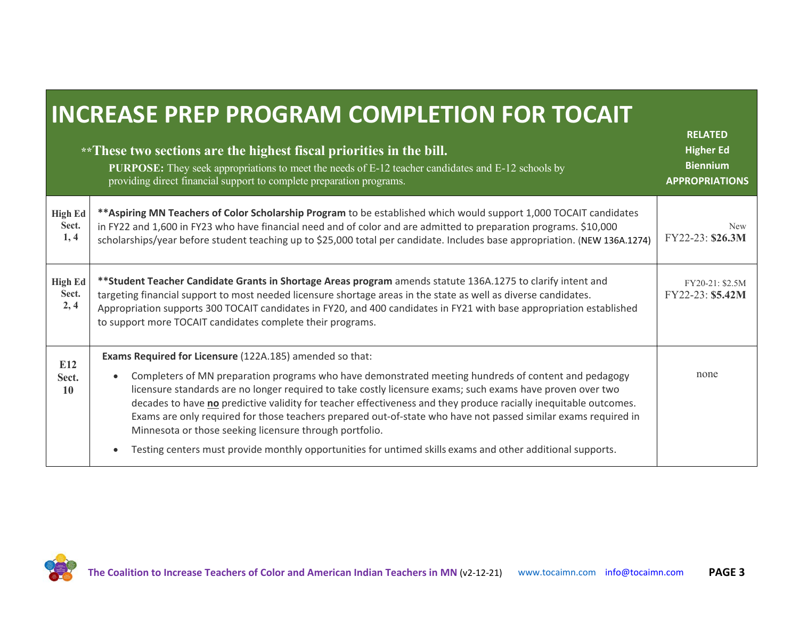### **INCREASE PREP PROGRAM COMPLETION FOR TOCAIT**

|                                 | **These two sections are the highest fiscal priorities in the bill.<br><b>PURPOSE:</b> They seek appropriations to meet the needs of E-12 teacher candidates and E-12 schools by<br>providing direct financial support to complete preparation programs.                                                                                                                                                                                                                                                                                                                                                                                                                                                   | <b>RELATED</b><br><b>Higher Ed</b><br><b>Biennium</b><br><b>APPROPRIATIONS</b> |
|---------------------------------|------------------------------------------------------------------------------------------------------------------------------------------------------------------------------------------------------------------------------------------------------------------------------------------------------------------------------------------------------------------------------------------------------------------------------------------------------------------------------------------------------------------------------------------------------------------------------------------------------------------------------------------------------------------------------------------------------------|--------------------------------------------------------------------------------|
| <b>High Ed</b><br>Sect.<br>1,4  | ** Aspiring MN Teachers of Color Scholarship Program to be established which would support 1,000 TOCAIT candidates<br>in FY22 and 1,600 in FY23 who have financial need and of color and are admitted to preparation programs. \$10,000<br>scholarships/year before student teaching up to \$25,000 total per candidate. Includes base appropriation. (NEW 136A.1274)                                                                                                                                                                                                                                                                                                                                      | <b>New</b><br>FY22-23: \$26.3M                                                 |
| <b>High Ed</b><br>Sect.<br>2, 4 | **Student Teacher Candidate Grants in Shortage Areas program amends statute 136A.1275 to clarify intent and<br>targeting financial support to most needed licensure shortage areas in the state as well as diverse candidates.<br>Appropriation supports 300 TOCAIT candidates in FY20, and 400 candidates in FY21 with base appropriation established<br>to support more TOCAIT candidates complete their programs.                                                                                                                                                                                                                                                                                       | FY20-21: \$2.5M<br>FY22-23: \$5.42M                                            |
| E12<br>Sect.<br>10              | Exams Required for Licensure (122A.185) amended so that:<br>Completers of MN preparation programs who have demonstrated meeting hundreds of content and pedagogy<br>licensure standards are no longer required to take costly licensure exams; such exams have proven over two<br>decades to have no predictive validity for teacher effectiveness and they produce racially inequitable outcomes.<br>Exams are only required for those teachers prepared out-of-state who have not passed similar exams required in<br>Minnesota or those seeking licensure through portfolio.<br>Testing centers must provide monthly opportunities for untimed skills exams and other additional supports.<br>$\bullet$ | none                                                                           |

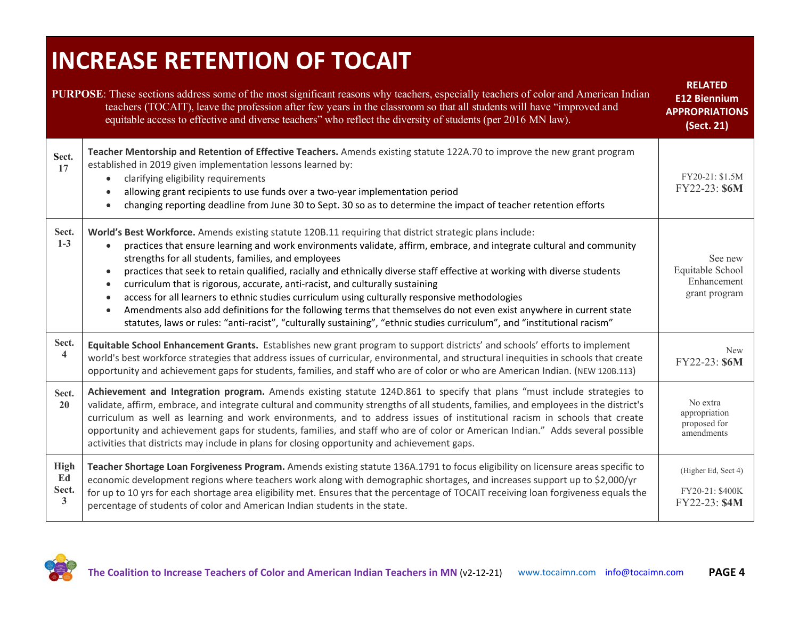### **INCREASE RETENTION OF TOCAIT**

| <b>PURPOSE:</b> These sections address some of the most significant reasons why teachers, especially teachers of color and American Indian<br>teachers (TOCAIT), leave the profession after few years in the classroom so that all students will have "improved and<br>equitable access to effective and diverse teachers" who reflect the diversity of students (per 2016 MN law). |                                                                                                                                                                                                                                                                                                                                                                                                                                                                                                                                                                                                                                                                                                                                                                                                                                                            |                                                             |  |
|-------------------------------------------------------------------------------------------------------------------------------------------------------------------------------------------------------------------------------------------------------------------------------------------------------------------------------------------------------------------------------------|------------------------------------------------------------------------------------------------------------------------------------------------------------------------------------------------------------------------------------------------------------------------------------------------------------------------------------------------------------------------------------------------------------------------------------------------------------------------------------------------------------------------------------------------------------------------------------------------------------------------------------------------------------------------------------------------------------------------------------------------------------------------------------------------------------------------------------------------------------|-------------------------------------------------------------|--|
| Sect.<br>17                                                                                                                                                                                                                                                                                                                                                                         | Teacher Mentorship and Retention of Effective Teachers. Amends existing statute 122A.70 to improve the new grant program<br>established in 2019 given implementation lessons learned by:<br>clarifying eligibility requirements<br>$\bullet$<br>allowing grant recipients to use funds over a two-year implementation period<br>changing reporting deadline from June 30 to Sept. 30 so as to determine the impact of teacher retention efforts                                                                                                                                                                                                                                                                                                                                                                                                            | FY20-21: \$1.5M<br>FY22-23: \$6M                            |  |
| Sect.<br>$1-3$                                                                                                                                                                                                                                                                                                                                                                      | World's Best Workforce. Amends existing statute 120B.11 requiring that district strategic plans include:<br>practices that ensure learning and work environments validate, affirm, embrace, and integrate cultural and community<br>strengths for all students, families, and employees<br>practices that seek to retain qualified, racially and ethnically diverse staff effective at working with diverse students<br>curriculum that is rigorous, accurate, anti-racist, and culturally sustaining<br>access for all learners to ethnic studies curriculum using culturally responsive methodologies<br>Amendments also add definitions for the following terms that themselves do not even exist anywhere in current state<br>statutes, laws or rules: "anti-racist", "culturally sustaining", "ethnic studies curriculum", and "institutional racism" | See new<br>Equitable School<br>Enhancement<br>grant program |  |
| Sect.<br>$\overline{\mathbf{4}}$                                                                                                                                                                                                                                                                                                                                                    | Equitable School Enhancement Grants. Establishes new grant program to support districts' and schools' efforts to implement<br>world's best workforce strategies that address issues of curricular, environmental, and structural inequities in schools that create<br>opportunity and achievement gaps for students, families, and staff who are of color or who are American Indian. (NEW 120B.113)                                                                                                                                                                                                                                                                                                                                                                                                                                                       | <b>New</b><br>FY22-23: \$6M                                 |  |
| Sect.<br>20                                                                                                                                                                                                                                                                                                                                                                         | Achievement and Integration program. Amends existing statute 124D.861 to specify that plans "must include strategies to<br>validate, affirm, embrace, and integrate cultural and community strengths of all students, families, and employees in the district's<br>curriculum as well as learning and work environments, and to address issues of institutional racism in schools that create<br>opportunity and achievement gaps for students, families, and staff who are of color or American Indian." Adds several possible<br>activities that districts may include in plans for closing opportunity and achievement gaps.                                                                                                                                                                                                                            | No extra<br>appropriation<br>proposed for<br>amendments     |  |
| <b>High</b><br>Ed<br>Sect.<br>3                                                                                                                                                                                                                                                                                                                                                     | Teacher Shortage Loan Forgiveness Program. Amends existing statute 136A.1791 to focus eligibility on licensure areas specific to<br>economic development regions where teachers work along with demographic shortages, and increases support up to \$2,000/yr<br>for up to 10 yrs for each shortage area eligibility met. Ensures that the percentage of TOCAIT receiving loan forgiveness equals the<br>percentage of students of color and American Indian students in the state.                                                                                                                                                                                                                                                                                                                                                                        | (Higher Ed, Sect 4)<br>FY20-21: \$400K<br>FY22-23: \$4M     |  |

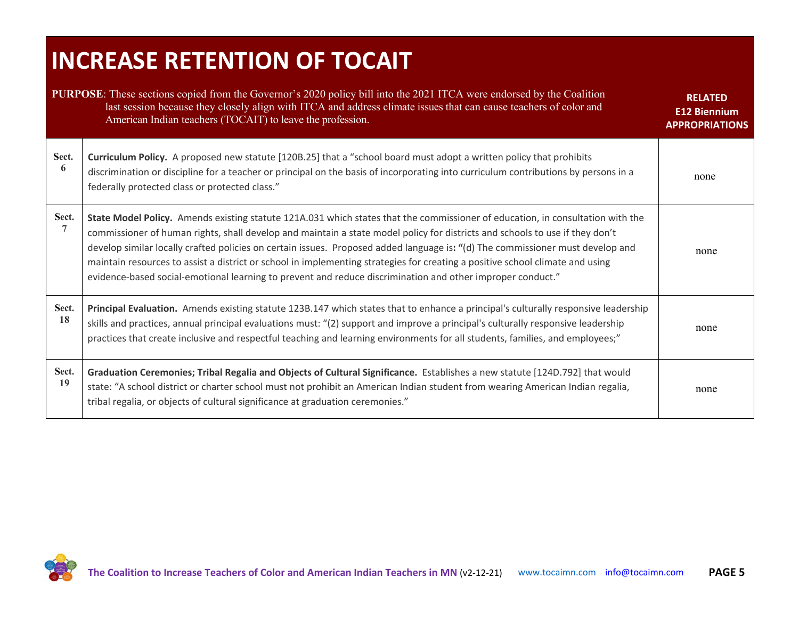### **INCREASE RETENTION OF TOCAIT**

|                         | <b>PURPOSE:</b> These sections copied from the Governor's 2020 policy bill into the 2021 ITCA were endorsed by the Coalition<br>last session because they closely align with ITCA and address climate issues that can cause teachers of color and<br>American Indian teachers (TOCAIT) to leave the profession.                                                                                                                                                                                                                                                                                                                                 | <b>RELATED</b><br><b>E12 Biennium</b><br><b>APPROPRIATIONS</b> |
|-------------------------|-------------------------------------------------------------------------------------------------------------------------------------------------------------------------------------------------------------------------------------------------------------------------------------------------------------------------------------------------------------------------------------------------------------------------------------------------------------------------------------------------------------------------------------------------------------------------------------------------------------------------------------------------|----------------------------------------------------------------|
| Sect.<br>6              | Curriculum Policy. A proposed new statute [120B.25] that a "school board must adopt a written policy that prohibits<br>discrimination or discipline for a teacher or principal on the basis of incorporating into curriculum contributions by persons in a<br>federally protected class or protected class."                                                                                                                                                                                                                                                                                                                                    | none                                                           |
| Sect.<br>$\overline{7}$ | State Model Policy. Amends existing statute 121A.031 which states that the commissioner of education, in consultation with the<br>commissioner of human rights, shall develop and maintain a state model policy for districts and schools to use if they don't<br>develop similar locally crafted policies on certain issues. Proposed added language is: "(d) The commissioner must develop and<br>maintain resources to assist a district or school in implementing strategies for creating a positive school climate and using<br>evidence-based social-emotional learning to prevent and reduce discrimination and other improper conduct." | none                                                           |
| Sect.<br>18             | Principal Evaluation. Amends existing statute 123B.147 which states that to enhance a principal's culturally responsive leadership<br>skills and practices, annual principal evaluations must: "(2) support and improve a principal's culturally responsive leadership<br>practices that create inclusive and respectful teaching and learning environments for all students, families, and employees;"                                                                                                                                                                                                                                         | none                                                           |
| Sect.<br>19             | Graduation Ceremonies; Tribal Regalia and Objects of Cultural Significance. Establishes a new statute [124D.792] that would<br>state: "A school district or charter school must not prohibit an American Indian student from wearing American Indian regalia,<br>tribal regalia, or objects of cultural significance at graduation ceremonies."                                                                                                                                                                                                                                                                                                 | none                                                           |

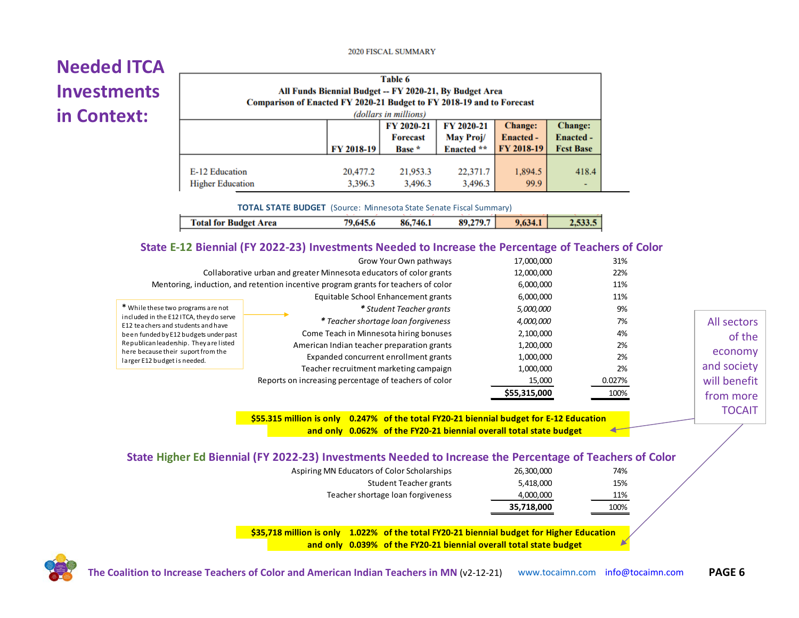#### 2020 FISCAL SUMMARY

#### **Needed ITCA Investments in Context:**

| Table 6<br>All Funds Biennial Budget -- FY 2020-21, By Budget Area<br>Comparison of Enacted FY 2020-21 Budget to FY 2018-19 and to Forecast<br>(dollars in millions) |                     |                                                  |                                                        |                 |       |
|----------------------------------------------------------------------------------------------------------------------------------------------------------------------|---------------------|--------------------------------------------------|--------------------------------------------------------|-----------------|-------|
| FY 2020-21<br>FY 2020-21<br>May Proj/<br><b>Forecast</b><br>FY 2018-19<br>Enacted **<br>Base *                                                                       |                     | <b>Change:</b><br><b>Enacted -</b><br>FY 2018-19 | <b>Change:</b><br><b>Enacted -</b><br><b>Fest Base</b> |                 |       |
| E-12 Education<br><b>Higher Education</b>                                                                                                                            | 20,477.2<br>3,396.3 | 21,953.3<br>3,496.3                              | 22,371.7<br>3,496.3                                    | 1,894.5<br>99.9 | 418.4 |

**TOTAL STATE BUDGET** (Source: Minnesota State Senate Fiscal Summary)

|  | Total for Budget Area | 79.645.6 | 86,746.1 | 89,279.7 | 9,634.1 | 2.533.5 |
|--|-----------------------|----------|----------|----------|---------|---------|
|--|-----------------------|----------|----------|----------|---------|---------|

#### **State E-12 Biennial (FY 2022-23) Investments Needed to Increase the Percentage of Teachers of Color**

|                                                                               | Grow Your Own pathways                                                             | 17,000,000   | 31%    |              |
|-------------------------------------------------------------------------------|------------------------------------------------------------------------------------|--------------|--------|--------------|
| Collaborative urban and greater Minnesota educators of color grants           | 12,000,000                                                                         | 22%          |        |              |
|                                                                               | Mentoring, induction, and retention incentive program grants for teachers of color | 6,000,000    | 11%    |              |
|                                                                               | Equitable School Enhancement grants                                                | 6,000,000    | 11%    |              |
| * While these two programs are not                                            | * Student Teacher grants                                                           | 5,000,000    | 9%     |              |
| included in the E12 ITCA, they do serve<br>E12 teachers and students and have | * Teacher shortage loan forgiveness                                                | 4,000,000    | 7%     | All sectors  |
| been funded by E12 budgets under past                                         | Come Teach in Minnesota hiring bonuses                                             | 2,100,000    | 4%     | of the       |
| Republican leadership. They are listed                                        | American Indian teacher preparation grants                                         | 1,200,000    | 2%     |              |
| here because their suport from the<br>larger E12 budget is needed.            | Expanded concurrent enrollment grants                                              | 1,000,000    | 2%     | economy      |
|                                                                               | Teacher recruitment marketing campaign                                             | 1,000,000    | 2%     | and society  |
|                                                                               | Reports on increasing percentage of teachers of color                              | 15,000       | 0.027% | will benefit |
|                                                                               |                                                                                    | \$55,315,000 | 100%   | trom more    |

**\$55.315 million is only 0.247% of the total FY20-21 biennial budget for E-12 Education and only 0.062% of the FY20-21 biennial overall total state budget**  ◢

| of the        |
|---------------|
| economy       |
| and society   |
| will benefit  |
| from more     |
| <b>TOCAIT</b> |

#### **State Higher Ed Biennial (FY 2022-23) Investments Needed to Increase the Percentage of Teachers of Color**

|                                             | 35,718,000 | 100% |
|---------------------------------------------|------------|------|
| Teacher shortage loan forgiveness           | 4,000,000  | 11%  |
| Student Teacher grants                      | 5.418.000  | 15%  |
| Aspiring MN Educators of Color Scholarships | 26,300,000 | 74%  |

**\$35,718 million is only 1.022% of the total FY20-21 biennial budget for Higher Education and only 0.039% of the FY20-21 biennial overall total state budget**